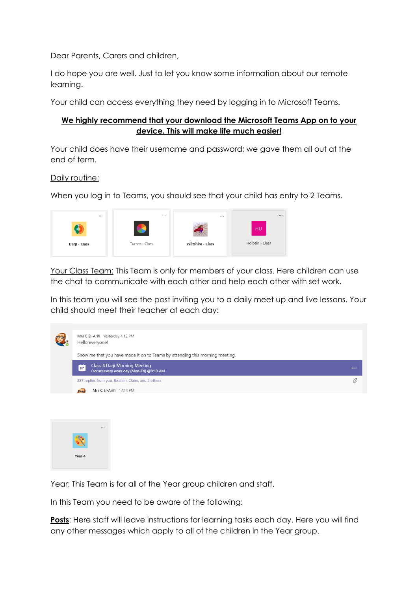Dear Parents, Carers and children,

I do hope you are well. Just to let you know some information about our remote learning.

Your child can access everything they need by logging in to Microsoft Teams.

## **We highly recommend that your download the Microsoft Teams App on to your device. This will make life much easier!**

Your child does have their username and password; we gave them all out at the end of term.

Daily routine:

When you log in to Teams, you should see that your child has entry to 2 Teams.



Your Class Team: This Team is only for members of your class. Here children can use the chat to communicate with each other and help each other with set work.

In this team you will see the post inviting you to a daily meet up and live lessons. Your child should meet their teacher at each day:



Year: This Team is for all of the Year group children and staff.

In this Team you need to be aware of the following:

**Posts**: Here staff will leave instructions for learning tasks each day. Here you will find any other messages which apply to all of the children in the Year group.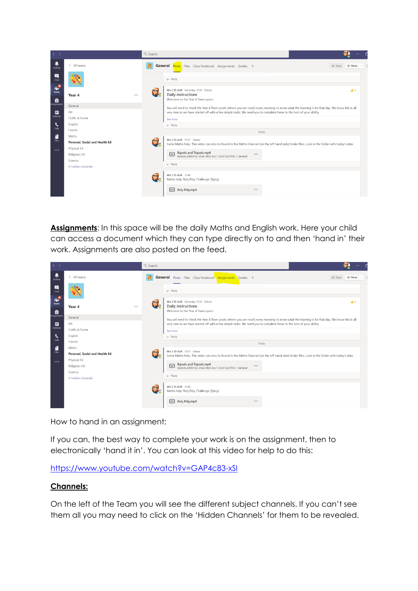

**Assignments**: In this space will be the daily Maths and English work. Here your child can access a document which they can type directly on to and then 'hand in' their work. Assignments are also posted on the feed.



How to hand in an assignment:

If you can, the best way to complete your work is on the assignment, then to electronically 'hand it in'. You can look at this video for help to do this:

<https://www.youtube.com/watch?v=GAP4c83-xSI>

## **Channels:**

On the left of the Team you will see the different subject channels. If you can't see them all you may need to click on the 'Hidden Channels' for them to be revealed.